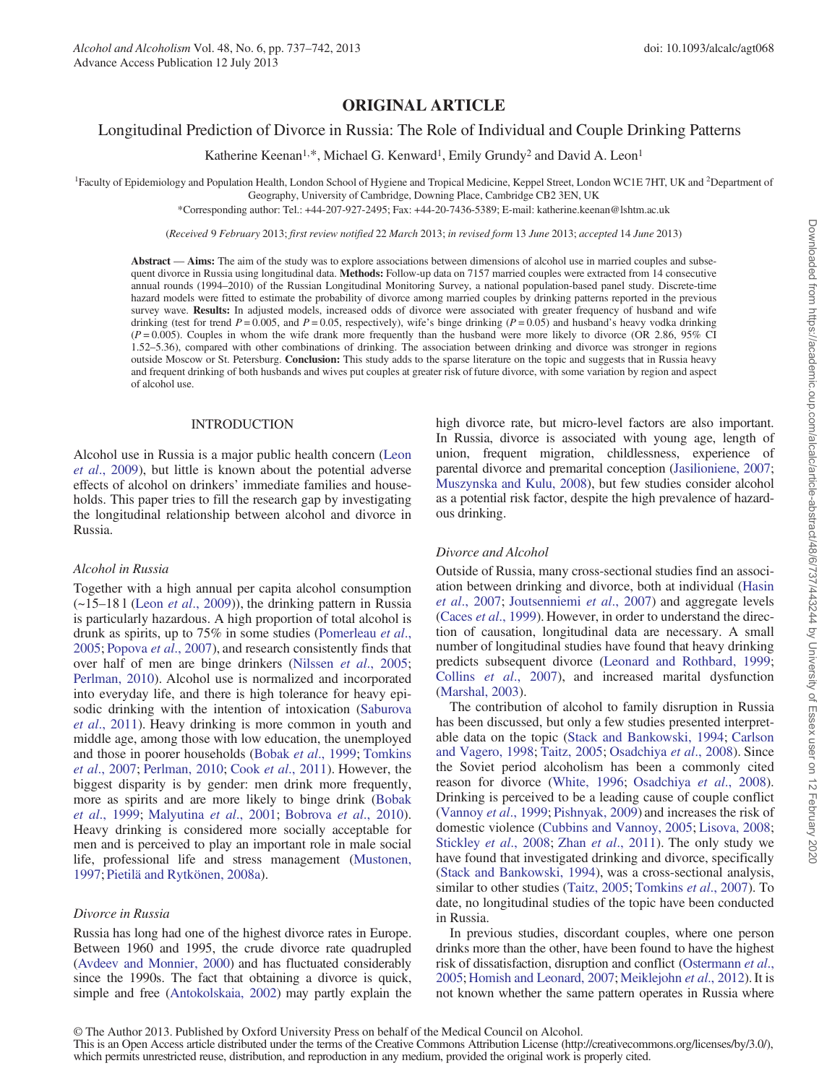# ORIGINAL ARTICLE

# Longitudinal Prediction of Divorce in Russia: The Role of Individual and Couple Drinking Patterns

Katherine Keenan<sup>1,\*</sup>, Michael G. Kenward<sup>1</sup>, Emily Grundy<sup>2</sup> and David A. Leon<sup>1</sup>

<sup>1</sup> Faculty of Epidemiology and Population Health, London School of Hygiene and Tropical Medicine, Keppel Street, London WC1E 7HT, UK and <sup>2</sup>Department of

Geography, University of Cambridge, Downing Place, Cambridge CB2 3EN, UK

\*Corresponding author: Tel.: +44-207-927-2495; Fax: +44-20-7436-5389; E-mail: katherine.keenan@lshtm.ac.uk

(Received 9 February 2013; first review notified 22 March 2013; in revised form 13 June 2013; accepted 14 June 2013)

Abstract — Aims: The aim of the study was to explore associations between dimensions of alcohol use in married couples and subsequent divorce in Russia using longitudinal data. Methods: Follow-up data on 7157 married couples were extracted from 14 consecutive annual rounds (1994–2010) of the Russian Longitudinal Monitoring Survey, a national population-based panel study. Discrete-time hazard models were fitted to estimate the probability of divorce among married couples by drinking patterns reported in the previous survey wave. Results: In adjusted models, increased odds of divorce were associated with greater frequency of husband and wife drinking (test for trend  $P = 0.005$ , and  $P = 0.05$ , respectively), wife's binge drinking ( $P = 0.05$ ) and husband's heavy vodka drinking  $(P=0.005)$ . Couples in whom the wife drank more frequently than the husband were more likely to divorce (OR 2.86, 95% CI 1.52–5.36), compared with other combinations of drinking. The association between drinking and divorce was stronger in regions outside Moscow or St. Petersburg. Conclusion: This study adds to the sparse literature on the topic and suggests that in Russia heavy and frequent drinking of both husbands and wives put couples at greater risk of future divorce, with some variation by region and aspect of alcohol use.

#### INTRODUCTION

Alcohol use in Russia is a major public health concern ([Leon](#page-5-0) et al[., 2009](#page-5-0)), but little is known about the potential adverse effects of alcohol on drinkers' immediate families and households. This paper tries to fill the research gap by investigating the longitudinal relationship between alcohol and divorce in Russia.

#### Alcohol in Russia

Together with a high annual per capita alcohol consumption  $(-15-18)$  (Leon *et al.*, 2009)), the drinking pattern in Russia is particularly hazardous. A high proportion of total alcohol is drunk as spirits, up to 75% in some studies ([Pomerleau](#page-5-0) et al., [2005;](#page-5-0) [Popova](#page-5-0) et al., 2007), and research consistently finds that over half of men are binge drinkers ([Nilssen](#page-5-0) et al., 2005; [Perlman, 2010\)](#page-5-0). Alcohol use is normalized and incorporated into everyday life, and there is high tolerance for heavy episodic drinking with the intention of intoxication [\(Saburova](#page-5-0) et al[., 2011\)](#page-5-0). Heavy drinking is more common in youth and middle age, among those with low education, the unemployed and those in poorer households (Bobak et al[., 1999;](#page-4-0) [Tomkins](#page-5-0) et al[., 2007;](#page-5-0) [Perlman, 2010](#page-5-0); Cook et al[., 2011\)](#page-5-0). However, the biggest disparity is by gender: men drink more frequently, more as spirits and are more likely to binge drink [\(Bobak](#page-4-0) et al[., 1999;](#page-4-0) [Malyutina](#page-5-0) et al., 2001; [Bobrova](#page-5-0) et al., 2010). Heavy drinking is considered more socially acceptable for men and is perceived to play an important role in male social life, professional life and stress management [\(Mustonen,](#page-5-0) [1997;](#page-5-0) [Pietilä and Rytkönen, 2008a](#page-5-0)).

### Divorce in Russia

Russia has long had one of the highest divorce rates in Europe. Between 1960 and 1995, the crude divorce rate quadrupled ([Avdeev and Monnier, 2000\)](#page-4-0) and has fluctuated considerably since the 1990s. The fact that obtaining a divorce is quick, simple and free [\(Antokolskaia, 2002\)](#page-4-0) may partly explain the

high divorce rate, but micro-level factors are also important. In Russia, divorce is associated with young age, length of union, frequent migration, childlessness, experience of parental divorce and premarital conception [\(Jasilioniene, 2007;](#page-5-0) [Muszynska and Kulu, 2008](#page-5-0)), but few studies consider alcohol as a potential risk factor, despite the high prevalence of hazardous drinking.

### Divorce and Alcohol

Outside of Russia, many cross-sectional studies find an association between drinking and divorce, both at individual ([Hasin](#page-5-0) et al[., 2007;](#page-5-0) [Joutsenniemi](#page-5-0) et al., 2007) and aggregate levels (Caces *et al.*, 1999). However, in order to understand the direction of causation, longitudinal data are necessary. A small number of longitudinal studies have found that heavy drinking predicts subsequent divorce ([Leonard and Rothbard, 1999;](#page-5-0) Collins et al[., 2007\)](#page-5-0), and increased marital dysfunction [\(Marshal, 2003\)](#page-5-0).

The contribution of alcohol to family disruption in Russia has been discussed, but only a few studies presented interpretable data on the topic [\(Stack and Bankowski, 1994](#page-5-0); [Carlson](#page-5-0) [and Vagero, 1998](#page-5-0); [Taitz, 2005;](#page-5-0) [Osadchiya](#page-5-0) et al., 2008). Since the Soviet period alcoholism has been a commonly cited reason for divorce [\(White, 1996;](#page-5-0) [Osadchiya](#page-5-0) et al., 2008). Drinking is perceived to be a leading cause of couple conflict [\(Vannoy](#page-5-0) et al., 1999; [Pishnyak, 2009](#page-5-0)) and increases the risk of domestic violence ([Cubbins and Vannoy, 2005](#page-5-0); [Lisova, 2008;](#page-5-0) [Stickley](#page-5-0) et al., 2008; Zhan et al[., 2011\)](#page-5-0). The only study we have found that investigated drinking and divorce, specifically [\(Stack and Bankowski, 1994](#page-5-0)), was a cross-sectional analysis, similar to other studies ([Taitz, 2005;](#page-5-0) [Tomkins](#page-5-0) et al., 2007). To date, no longitudinal studies of the topic have been conducted in Russia.

In previous studies, discordant couples, where one person drinks more than the other, have been found to have the highest risk of dissatisfaction, disruption and conflict [\(Ostermann](#page-5-0) et al., [2005;](#page-5-0) [Homish and Leonard, 2007](#page-5-0); [Meiklejohn](#page-5-0) et al., 2012). It is not known whether the same pattern operates in Russia where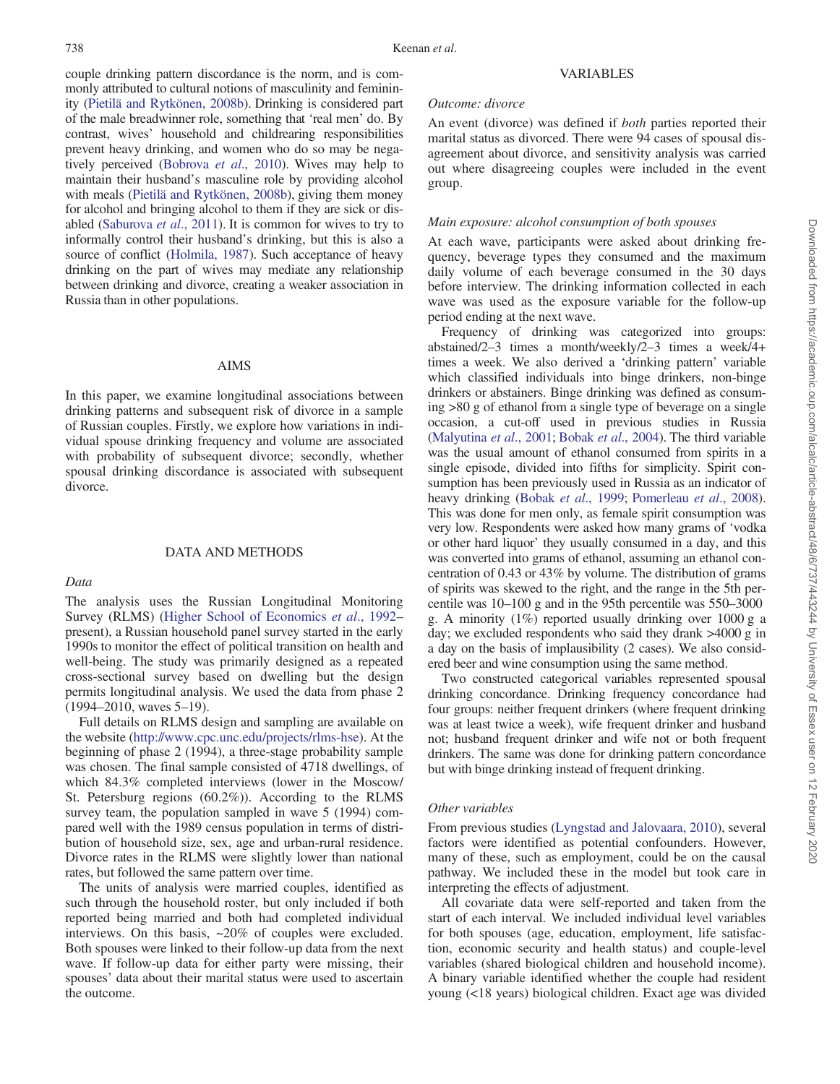couple drinking pattern discordance is the norm, and is commonly attributed to cultural notions of masculinity and femininity [\(Pietilä and Rytkönen, 2008b\)](#page-5-0). Drinking is considered part of the male breadwinner role, something that 'real men' do. By contrast, wives' household and childrearing responsibilities prevent heavy drinking, and women who do so may be negatively perceived [\(Bobrova](#page-5-0) et al., 2010). Wives may help to maintain their husband's masculine role by providing alcohol with meals ([Pietilä and Rytkönen, 2008b](#page-5-0)), giving them money for alcohol and bringing alcohol to them if they are sick or disabled ([Saburova](#page-5-0) et al., 2011). It is common for wives to try to informally control their husband's drinking, but this is also a source of conflict [\(Holmila, 1987\)](#page-5-0). Such acceptance of heavy drinking on the part of wives may mediate any relationship between drinking and divorce, creating a weaker association in Russia than in other populations.

### AIMS

In this paper, we examine longitudinal associations between drinking patterns and subsequent risk of divorce in a sample of Russian couples. Firstly, we explore how variations in individual spouse drinking frequency and volume are associated with probability of subsequent divorce; secondly, whether spousal drinking discordance is associated with subsequent divorce.

## DATA AND METHODS

#### Data

# The analysis uses the Russian Longitudinal Monitoring Survey (RLMS) ([Higher School of Economics](#page-5-0) et al., 1992– present), a Russian household panel survey started in the early 1990s to monitor the effect of political transition on health and well-being. The study was primarily designed as a repeated cross-sectional survey based on dwelling but the design permits longitudinal analysis. We used the data from phase 2 (1994–2010, waves 5–19).

Full details on RLMS design and sampling are available on the website [\(http://www.cpc.unc.edu/projects/rlms-hse\)](http://www.cpc.unc.edu/projects/rlms-hse). At the beginning of phase 2 (1994), a three-stage probability sample was chosen. The final sample consisted of 4718 dwellings, of which 84.3% completed interviews (lower in the Moscow/ St. Petersburg regions (60.2%)). According to the RLMS survey team, the population sampled in wave 5 (1994) compared well with the 1989 census population in terms of distribution of household size, sex, age and urban-rural residence. Divorce rates in the RLMS were slightly lower than national rates, but followed the same pattern over time.

The units of analysis were married couples, identified as such through the household roster, but only included if both reported being married and both had completed individual interviews. On this basis, ~20% of couples were excluded. Both spouses were linked to their follow-up data from the next wave. If follow-up data for either party were missing, their spouses' data about their marital status were used to ascertain the outcome.

# Outcome: divorce

An event (divorce) was defined if both parties reported their marital status as divorced. There were 94 cases of spousal disagreement about divorce, and sensitivity analysis was carried out where disagreeing couples were included in the event group.

#### Main exposure: alcohol consumption of both spouses

At each wave, participants were asked about drinking frequency, beverage types they consumed and the maximum daily volume of each beverage consumed in the 30 days before interview. The drinking information collected in each wave was used as the exposure variable for the follow-up period ending at the next wave.

Frequency of drinking was categorized into groups: abstained/2–3 times a month/weekly/2–3 times a week/4+ times a week. We also derived a 'drinking pattern' variable which classified individuals into binge drinkers, non-binge drinkers or abstainers. Binge drinking was defined as consuming >80 g of ethanol from a single type of beverage on a single occasion, a cut-off used in previous studies in Russia [\(Malyutina](#page-5-0) et al., 2001; Bobak et al[., 2004\)](#page-4-0). The third variable was the usual amount of ethanol consumed from spirits in a single episode, divided into fifths for simplicity. Spirit consumption has been previously used in Russia as an indicator of heavy drinking (Bobak et al[., 1999](#page-4-0); [Pomerleau](#page-5-0) et al., 2008). This was done for men only, as female spirit consumption was very low. Respondents were asked how many grams of 'vodka or other hard liquor' they usually consumed in a day, and this was converted into grams of ethanol, assuming an ethanol concentration of 0.43 or 43% by volume. The distribution of grams of spirits was skewed to the right, and the range in the 5th percentile was 10–100 g and in the 95th percentile was 550–3000 g. A minority (1%) reported usually drinking over 1000 g a day; we excluded respondents who said they drank >4000 g in a day on the basis of implausibility (2 cases). We also considered beer and wine consumption using the same method.

Two constructed categorical variables represented spousal drinking concordance. Drinking frequency concordance had four groups: neither frequent drinkers (where frequent drinking was at least twice a week), wife frequent drinker and husband not; husband frequent drinker and wife not or both frequent drinkers. The same was done for drinking pattern concordance but with binge drinking instead of frequent drinking.

### Other variables

From previous studies [\(Lyngstad and Jalovaara, 2010](#page-5-0)), several factors were identified as potential confounders. However, many of these, such as employment, could be on the causal pathway. We included these in the model but took care in interpreting the effects of adjustment.

All covariate data were self-reported and taken from the start of each interval. We included individual level variables for both spouses (age, education, employment, life satisfaction, economic security and health status) and couple-level variables (shared biological children and household income). A binary variable identified whether the couple had resident young (<18 years) biological children. Exact age was divided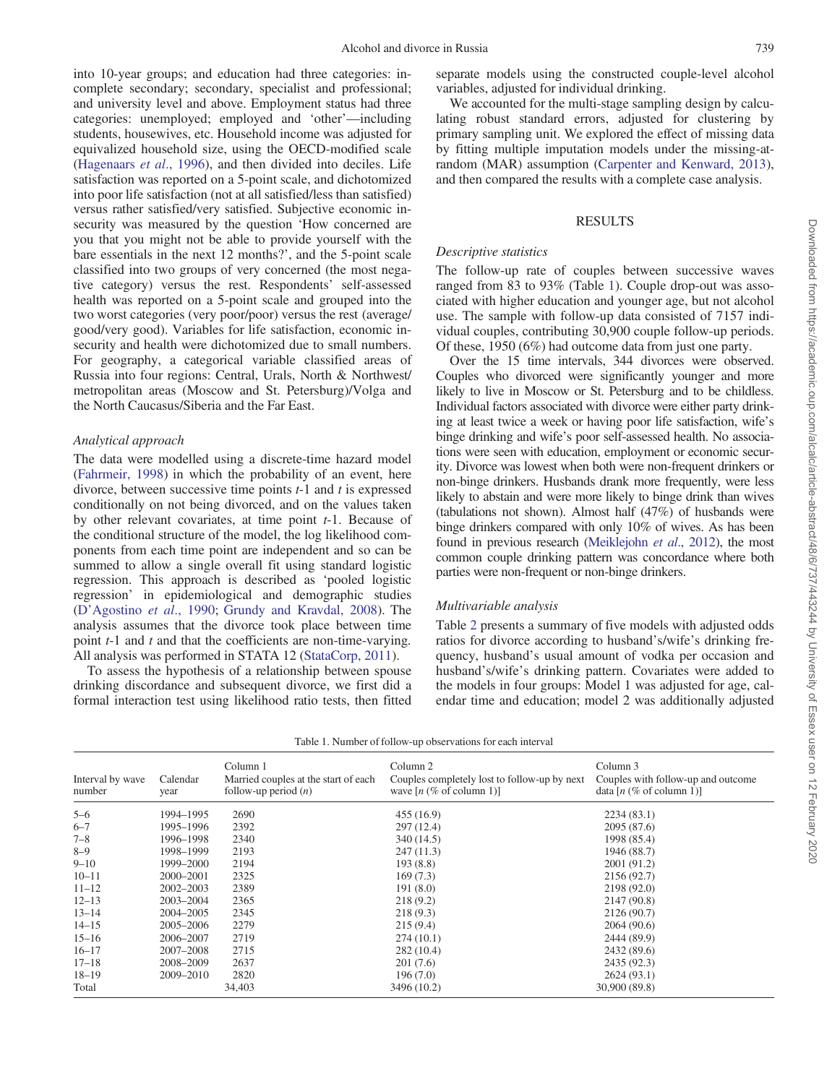into 10-year groups; and education had three categories: incomplete secondary; secondary, specialist and professional; and university level and above. Employment status had three categories: unemployed; employed and 'other'—including students, housewives, etc. Household income was adjusted for equivalized household size, using the OECD-modified scale ([Hagenaars](#page-5-0) et al., 1996), and then divided into deciles. Life satisfaction was reported on a 5-point scale, and dichotomized into poor life satisfaction (not at all satisfied/less than satisfied) versus rather satisfied/very satisfied. Subjective economic insecurity was measured by the question 'How concerned are you that you might not be able to provide yourself with the bare essentials in the next 12 months?', and the 5-point scale classified into two groups of very concerned (the most negative category) versus the rest. Respondents' self-assessed health was reported on a 5-point scale and grouped into the two worst categories (very poor/poor) versus the rest (average/ good/very good). Variables for life satisfaction, economic insecurity and health were dichotomized due to small numbers. For geography, a categorical variable classified areas of Russia into four regions: Central, Urals, North & Northwest/ metropolitan areas (Moscow and St. Petersburg)/Volga and the North Caucasus/Siberia and the Far East.

### Analytical approach

The data were modelled using a discrete-time hazard model ([Fahrmeir, 1998](#page-5-0)) in which the probability of an event, here divorce, between successive time points  $t-1$  and  $t$  is expressed conditionally on not being divorced, and on the values taken by other relevant covariates, at time point t-1. Because of the conditional structure of the model, the log likelihood components from each time point are independent and so can be summed to allow a single overall fit using standard logistic regression. This approach is described as 'pooled logistic regression' in epidemiological and demographic studies (D'[Agostino](#page-5-0) et al., 1990; [Grundy and Kravdal, 2008](#page-5-0)). The analysis assumes that the divorce took place between time point *t*-1 and *t* and that the coefficients are non-time-varying. All analysis was performed in STATA 12 ([StataCorp, 2011\)](#page-5-0).

To assess the hypothesis of a relationship between spouse drinking discordance and subsequent divorce, we first did a formal interaction test using likelihood ratio tests, then fitted separate models using the constructed couple-level alcohol variables, adjusted for individual drinking.

We accounted for the multi-stage sampling design by calculating robust standard errors, adjusted for clustering by primary sampling unit. We explored the effect of missing data by fitting multiple imputation models under the missing-atrandom (MAR) assumption [\(Carpenter and Kenward, 2013\)](#page-5-0), and then compared the results with a complete case analysis.

# RESULTS

#### Descriptive statistics

The follow-up rate of couples between successive waves ranged from 83 to 93% (Table 1). Couple drop-out was associated with higher education and younger age, but not alcohol use. The sample with follow-up data consisted of 7157 individual couples, contributing 30,900 couple follow-up periods. Of these, 1950 (6%) had outcome data from just one party.

Over the 15 time intervals, 344 divorces were observed. Couples who divorced were significantly younger and more likely to live in Moscow or St. Petersburg and to be childless. Individual factors associated with divorce were either party drinking at least twice a week or having poor life satisfaction, wife's binge drinking and wife's poor self-assessed health. No associations were seen with education, employment or economic security. Divorce was lowest when both were non-frequent drinkers or non-binge drinkers. Husbands drank more frequently, were less likely to abstain and were more likely to binge drink than wives (tabulations not shown). Almost half (47%) of husbands were binge drinkers compared with only 10% of wives. As has been found in previous research [\(Meiklejohn](#page-5-0) et al., 2012), the most common couple drinking pattern was concordance where both parties were non-frequent or non-binge drinkers.

### Multivariable analysis

Table [2](#page-3-0) presents a summary of five models with adjusted odds ratios for divorce according to husband's/wife's drinking frequency, husband's usual amount of vodka per occasion and husband's/wife's drinking pattern. Covariates were added to the models in four groups: Model 1 was adjusted for age, calendar time and education; model 2 was additionally adjusted

| Table 1. Number of follow-up observations for each interval |                  |                                                                            |                                                                                                 |                                                                                       |  |  |  |
|-------------------------------------------------------------|------------------|----------------------------------------------------------------------------|-------------------------------------------------------------------------------------------------|---------------------------------------------------------------------------------------|--|--|--|
| Interval by wave<br>number                                  | Calendar<br>year | Column 1<br>Married couples at the start of each<br>follow-up period $(n)$ | Column 2<br>Couples completely lost to follow-up by next<br>wave $[n \ (\% \ of \ column \ 1)]$ | Column 3<br>Couples with follow-up and outcome<br>data $[n \ (\% \ of \ column \ 1)]$ |  |  |  |
| $5 - 6$                                                     | 1994-1995        | 2690                                                                       | 455(16.9)                                                                                       | 2234(83.1)                                                                            |  |  |  |
| $6 - 7$                                                     | 1995-1996        | 2392                                                                       | 297(12.4)                                                                                       | 2095 (87.6)                                                                           |  |  |  |
| $7 - 8$                                                     | 1996-1998        | 2340                                                                       | 340 (14.5)                                                                                      | 1998 (85.4)                                                                           |  |  |  |
| $8 - 9$                                                     | 1998-1999        | 2193                                                                       | 247 (11.3)                                                                                      | 1946 (88.7)                                                                           |  |  |  |
| $9 - 10$                                                    | 1999-2000        | 2194                                                                       | 193(8.8)                                                                                        | 2001 (91.2)                                                                           |  |  |  |
| $10 - 11$                                                   | 2000–2001        | 2325                                                                       | 169(7.3)                                                                                        | 2156 (92.7)                                                                           |  |  |  |
| $11 - 12$                                                   | 2002–2003        | 2389                                                                       | 191(8.0)                                                                                        | 2198 (92.0)                                                                           |  |  |  |
| $12 - 13$                                                   | 2003-2004        | 2365                                                                       | 218(9.2)                                                                                        | 2147 (90.8)                                                                           |  |  |  |
| $13 - 14$                                                   | 2004-2005        | 2345                                                                       | 218(9.3)                                                                                        | 2126 (90.7)                                                                           |  |  |  |
| $14 - 15$                                                   | 2005–2006        | 2279                                                                       | 215(9.4)                                                                                        | 2064 (90.6)                                                                           |  |  |  |
| $15 - 16$                                                   | 2006–2007        | 2719                                                                       | 274(10.1)                                                                                       | 2444 (89.9)                                                                           |  |  |  |
| $16 - 17$                                                   | 2007-2008        | 2715                                                                       | 282 (10.4)                                                                                      | 2432 (89.6)                                                                           |  |  |  |
| $17 - 18$                                                   | 2008-2009        | 2637                                                                       | 201(7.6)                                                                                        | 2435 (92.3)                                                                           |  |  |  |
| $18 - 19$                                                   | 2009-2010        | 2820                                                                       | 196(7.0)                                                                                        | 2624 (93.1)                                                                           |  |  |  |
| Total                                                       |                  | 34,403                                                                     | 3496 (10.2)                                                                                     | 30,900 (89.8)                                                                         |  |  |  |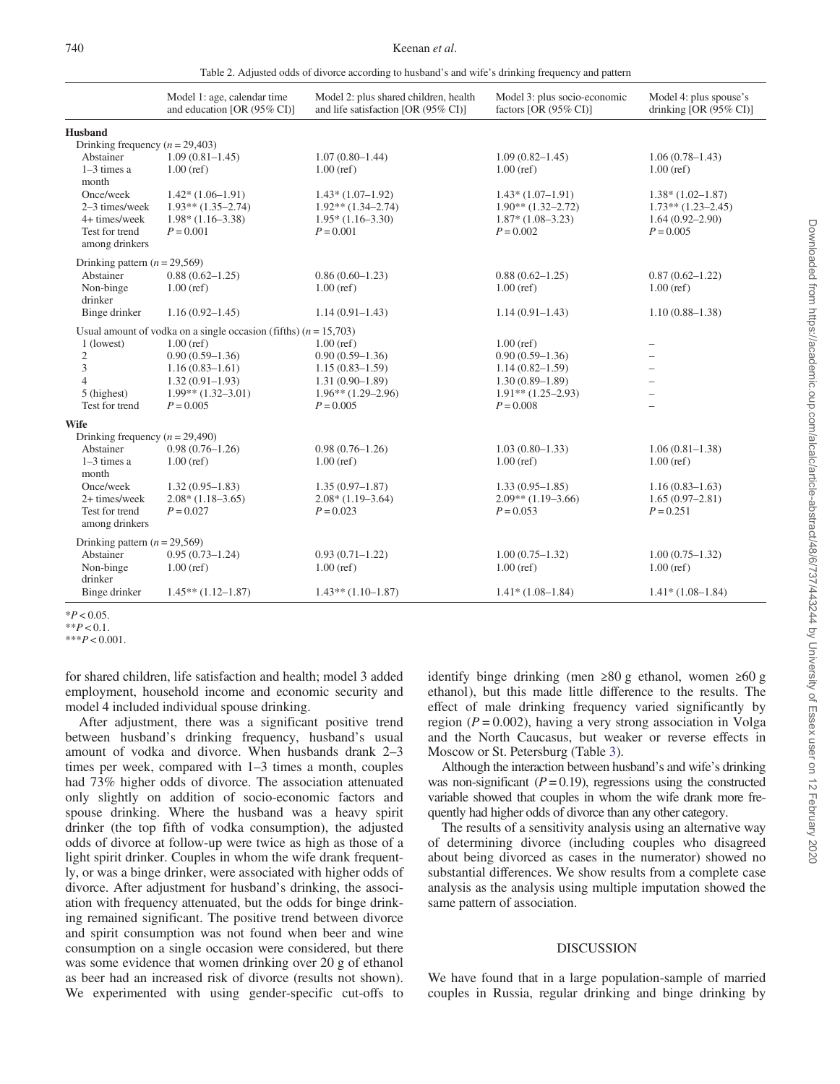| Table 2. Adjusted odds of divorce according to husband's and wife's drinking frequency and pattern |  |
|----------------------------------------------------------------------------------------------------|--|
|----------------------------------------------------------------------------------------------------|--|

<span id="page-3-0"></span>

|                                     | Model 1: age, calendar time<br>and education [OR (95% CI)]         | Model 2: plus shared children, health<br>and life satisfaction [OR (95% CI)] | Model 3: plus socio-economic<br>factors [OR $(95\%$ CI)] | Model 4: plus spouse's<br>drinking [OR $(95\% \text{ CI})$ ] |
|-------------------------------------|--------------------------------------------------------------------|------------------------------------------------------------------------------|----------------------------------------------------------|--------------------------------------------------------------|
| <b>Husband</b>                      |                                                                    |                                                                              |                                                          |                                                              |
| Drinking frequency $(n = 29,403)$   |                                                                    |                                                                              |                                                          |                                                              |
| Abstainer                           | $1.09(0.81 - 1.45)$                                                | $1.07(0.80 - 1.44)$                                                          | $1.09(0.82 - 1.45)$                                      | $1.06(0.78 - 1.43)$                                          |
| $1-3$ times a<br>month              | $1.00$ (ref)                                                       | $1.00$ (ref)                                                                 | $1.00$ (ref)                                             | $1.00$ (ref)                                                 |
| Once/week                           | $1.42*(1.06-1.91)$                                                 | $1.43*(1.07-1.92)$                                                           | $1.43*(1.07-1.91)$                                       | $1.38*(1.02-1.87)$                                           |
| 2-3 times/week                      | $1.93**$ $(1.35-2.74)$                                             | $1.92**$ $(1.34-2.74)$                                                       | $1.90**$ (1.32–2.72)                                     | $1.73**$ $(1.23-2.45)$                                       |
| 4+ times/week                       | $1.98*(1.16-3.38)$                                                 | $1.95*(1.16-3.30)$                                                           | $1.87*(1.08-3.23)$                                       | $1.64(0.92 - 2.90)$                                          |
| Test for trend<br>among drinkers    | $P = 0.001$                                                        | $P = 0.001$                                                                  | $P = 0.002$                                              | $P = 0.005$                                                  |
| Drinking pattern $(n = 29,569)$     |                                                                    |                                                                              |                                                          |                                                              |
| Abstainer                           | $0.88(0.62 - 1.25)$                                                | $0.86(0.60-1.23)$                                                            | $0.88(0.62 - 1.25)$                                      | $0.87(0.62 - 1.22)$                                          |
| Non-binge<br>drinker                | $1.00$ (ref)                                                       | $1.00$ (ref)                                                                 | $1.00$ (ref)                                             | $1.00$ (ref)                                                 |
| Binge drinker                       | $1.16(0.92 - 1.45)$                                                | $1.14(0.91 - 1.43)$                                                          | $1.14(0.91 - 1.43)$                                      | $1.10(0.88 - 1.38)$                                          |
|                                     | Usual amount of vodka on a single occasion (fifths) $(n = 15,703)$ |                                                                              |                                                          |                                                              |
| 1 (lowest)                          | $1.00$ (ref)                                                       | $1.00$ (ref)                                                                 | $1.00$ (ref)                                             | $\overline{\phantom{0}}$                                     |
| $\mathfrak{2}$                      | $0.90(0.59 - 1.36)$                                                | $0.90(0.59-1.36)$                                                            | $0.90(0.59 - 1.36)$                                      |                                                              |
| 3                                   | $1.16(0.83 - 1.61)$                                                | $1.15(0.83 - 1.59)$                                                          | $1.14(0.82 - 1.59)$                                      |                                                              |
| $\overline{4}$                      | $1.32(0.91 - 1.93)$                                                | $1.31(0.90 - 1.89)$                                                          | $1.30(0.89 - 1.89)$                                      |                                                              |
| 5 (highest)                         | $1.99**$ $(1.32-3.01)$                                             | $1.96**$ (1.29-2.96)                                                         | $1.91**$ (1.25–2.93)                                     |                                                              |
| Test for trend                      | $P = 0.005$                                                        | $P = 0.005$                                                                  | $P = 0.008$                                              | $\overline{\phantom{0}}$                                     |
| <b>Wife</b>                         |                                                                    |                                                                              |                                                          |                                                              |
| Drinking frequency ( $n = 29,490$ ) |                                                                    |                                                                              |                                                          |                                                              |
| Abstainer                           | $0.98(0.76 - 1.26)$                                                | $0.98(0.76 - 1.26)$                                                          | $1.03(0.80-1.33)$                                        | $1.06(0.81 - 1.38)$                                          |
| $1-3$ times a                       | $1.00$ (ref)                                                       | $1.00$ (ref)                                                                 | $1.00$ (ref)                                             | $1.00$ (ref)                                                 |
| month                               |                                                                    |                                                                              |                                                          |                                                              |
| Once/week                           | $1.32(0.95 - 1.83)$                                                | $1.35(0.97-1.87)$                                                            | $1.33(0.95 - 1.85)$                                      | $1.16(0.83 - 1.63)$                                          |
| 2+ times/week                       | $2.08*(1.18-3.65)$                                                 | $2.08*(1.19-3.64)$                                                           | $2.09**$ (1.19-3.66)                                     | $1.65(0.97-2.81)$                                            |
| Test for trend<br>among drinkers    | $P = 0.027$                                                        | $P = 0.023$                                                                  | $P = 0.053$                                              | $P = 0.251$                                                  |
| Drinking pattern $(n = 29,569)$     |                                                                    |                                                                              |                                                          |                                                              |
| Abstainer                           | $0.95(0.73 - 1.24)$                                                | $0.93(0.71 - 1.22)$                                                          | $1.00(0.75 - 1.32)$                                      | $1.00(0.75 - 1.32)$                                          |
| Non-binge<br>drinker                | $1.00$ (ref)                                                       | $1.00$ (ref)                                                                 | $1.00$ (ref)                                             | $1.00$ (ref)                                                 |
| Binge drinker                       | $1.45**$ $(1.12-1.87)$                                             | $1.43**$ (1.10-1.87)                                                         | $1.41*(1.08-1.84)$                                       | $1.41*(1.08-1.84)$                                           |

 $*P < 0.05$ .

 $*$  $P < 0.1$  $***P<0.001$ 

for shared children, life satisfaction and health; model 3 added employment, household income and economic security and model 4 included individual spouse drinking.

After adjustment, there was a significant positive trend between husband's drinking frequency, husband's usual amount of vodka and divorce. When husbands drank 2–3 times per week, compared with 1–3 times a month, couples had 73% higher odds of divorce. The association attenuated only slightly on addition of socio-economic factors and spouse drinking. Where the husband was a heavy spirit drinker (the top fifth of vodka consumption), the adjusted odds of divorce at follow-up were twice as high as those of a light spirit drinker. Couples in whom the wife drank frequently, or was a binge drinker, were associated with higher odds of divorce. After adjustment for husband's drinking, the association with frequency attenuated, but the odds for binge drinking remained significant. The positive trend between divorce and spirit consumption was not found when beer and wine consumption on a single occasion were considered, but there was some evidence that women drinking over 20 g of ethanol as beer had an increased risk of divorce (results not shown). We experimented with using gender-specific cut-offs to

identify binge drinking (men ≥80 g ethanol, women ≥60 g ethanol), but this made little difference to the results. The effect of male drinking frequency varied significantly by region ( $P = 0.002$ ), having a very strong association in Volga and the North Caucasus, but weaker or reverse effects in Moscow or St. Petersburg (Table [3](#page-4-0)).

Although the interaction between husband's and wife's drinking was non-significant  $(P = 0.19)$ , regressions using the constructed variable showed that couples in whom the wife drank more frequently had higher odds of divorce than any other category.

The results of a sensitivity analysis using an alternative way of determining divorce (including couples who disagreed about being divorced as cases in the numerator) showed no substantial differences. We show results from a complete case analysis as the analysis using multiple imputation showed the same pattern of association.

# DISCUSSION

We have found that in a large population-sample of married couples in Russia, regular drinking and binge drinking by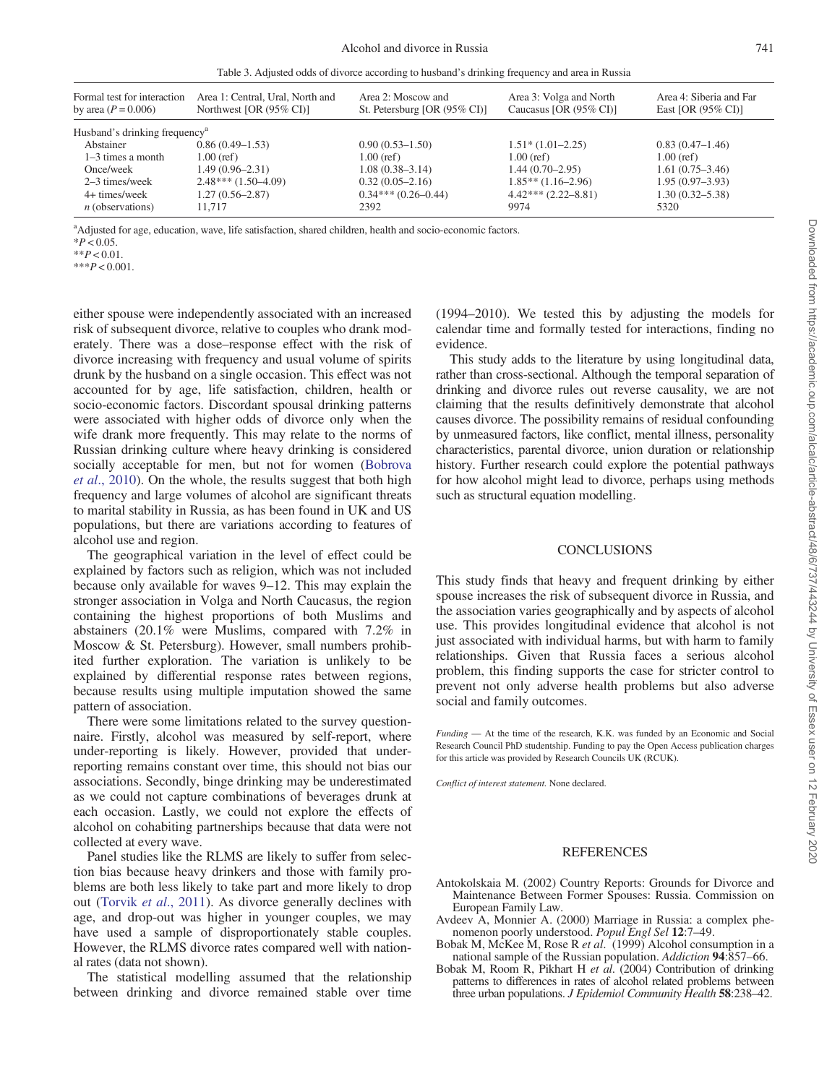Table 3. Adjusted odds of divorce according to husband's drinking frequency and area in Russia

<span id="page-4-0"></span>

| Formal test for interaction<br>by area $(P = 0.006)$ | Area 1: Central, Ural, North and<br>Northwest [OR $(95\% \text{ CI})$ ] | Area 2: Moscow and<br>St. Petersburg [OR (95% CI)] | Area 3: Volga and North<br>Caucasus [OR $(95\%$ CI)] | Area 4: Siberia and Far<br>East [OR $(95\% \text{ CI})$ ] |  |  |  |
|------------------------------------------------------|-------------------------------------------------------------------------|----------------------------------------------------|------------------------------------------------------|-----------------------------------------------------------|--|--|--|
| Husband's drinking frequency <sup>a</sup>            |                                                                         |                                                    |                                                      |                                                           |  |  |  |
| Abstainer                                            | $0.86(0.49-1.53)$                                                       | $0.90(0.53 - 1.50)$                                | $1.51*(1.01-2.25)$                                   | $0.83(0.47-1.46)$                                         |  |  |  |
| $1-3$ times a month                                  | $1.00$ (ref)                                                            | $1.00$ (ref)                                       | $1.00$ (ref)                                         | $1.00$ (ref)                                              |  |  |  |
| Once/week                                            | $1.49(0.96 - 2.31)$                                                     | $1.08(0.38 - 3.14)$                                | $1.44(0.70-2.95)$                                    | $1.61(0.75-3.46)$                                         |  |  |  |
| 2–3 times/week                                       | $2.48***(1.50-4.09)$                                                    | $0.32(0.05-2.16)$                                  | $1.85**$ $(1.16-2.96)$                               | $1.95(0.97-3.93)$                                         |  |  |  |
| 4+ times/week                                        | $1.27(0.56 - 2.87)$                                                     | $0.34***(0.26-0.44)$                               | $4.42***(2.22-8.81)$                                 | $1.30(0.32 - 5.38)$                                       |  |  |  |
| $n$ (observations)                                   | 11.717                                                                  | 2392                                               | 9974                                                 | 5320                                                      |  |  |  |

<sup>a</sup>Adjusted for age, education, wave, life satisfaction, shared children, health and socio-economic factors.

 $*P < 0.05$ .

 $*$  $P < 0.01$ 

 $***P<0.001$ .

either spouse were independently associated with an increased risk of subsequent divorce, relative to couples who drank moderately. There was a dose–response effect with the risk of divorce increasing with frequency and usual volume of spirits drunk by the husband on a single occasion. This effect was not accounted for by age, life satisfaction, children, health or socio-economic factors. Discordant spousal drinking patterns were associated with higher odds of divorce only when the wife drank more frequently. This may relate to the norms of Russian drinking culture where heavy drinking is considered socially acceptable for men, but not for women [\(Bobrova](#page-5-0) et al[., 2010](#page-5-0)). On the whole, the results suggest that both high frequency and large volumes of alcohol are significant threats to marital stability in Russia, as has been found in UK and US populations, but there are variations according to features of alcohol use and region.

The geographical variation in the level of effect could be explained by factors such as religion, which was not included because only available for waves 9–12. This may explain the stronger association in Volga and North Caucasus, the region containing the highest proportions of both Muslims and abstainers (20.1% were Muslims, compared with 7.2% in Moscow & St. Petersburg). However, small numbers prohibited further exploration. The variation is unlikely to be explained by differential response rates between regions, because results using multiple imputation showed the same pattern of association.

There were some limitations related to the survey questionnaire. Firstly, alcohol was measured by self-report, where under-reporting is likely. However, provided that underreporting remains constant over time, this should not bias our associations. Secondly, binge drinking may be underestimated as we could not capture combinations of beverages drunk at each occasion. Lastly, we could not explore the effects of alcohol on cohabiting partnerships because that data were not collected at every wave.

Panel studies like the RLMS are likely to suffer from selection bias because heavy drinkers and those with family problems are both less likely to take part and more likely to drop out (Torvik et al[., 2011](#page-5-0)). As divorce generally declines with age, and drop-out was higher in younger couples, we may have used a sample of disproportionately stable couples. However, the RLMS divorce rates compared well with national rates (data not shown).

The statistical modelling assumed that the relationship between drinking and divorce remained stable over time

(1994–2010). We tested this by adjusting the models for calendar time and formally tested for interactions, finding no evidence.

This study adds to the literature by using longitudinal data, rather than cross-sectional. Although the temporal separation of drinking and divorce rules out reverse causality, we are not claiming that the results definitively demonstrate that alcohol causes divorce. The possibility remains of residual confounding by unmeasured factors, like conflict, mental illness, personality characteristics, parental divorce, union duration or relationship history. Further research could explore the potential pathways for how alcohol might lead to divorce, perhaps using methods such as structural equation modelling.

#### **CONCLUSIONS**

This study finds that heavy and frequent drinking by either spouse increases the risk of subsequent divorce in Russia, and the association varies geographically and by aspects of alcohol use. This provides longitudinal evidence that alcohol is not just associated with individual harms, but with harm to family relationships. Given that Russia faces a serious alcohol problem, this finding supports the case for stricter control to prevent not only adverse health problems but also adverse social and family outcomes.

Funding — At the time of the research, K.K. was funded by an Economic and Social Research Council PhD studentship. Funding to pay the Open Access publication charges for this article was provided by Research Councils UK (RCUK).

Conflict of interest statement. None declared.

## **REFERENCES**

- Antokolskaia M. (2002) Country Reports: Grounds for Divorce and Maintenance Between Former Spouses: Russia. Commission on European Family Law.
- Avdeev A, Monnier A. (2000) Marriage in Russia: a complex phenomenon poorly understood. Popul Engl Sel 12:7–49.
- Bobak M, McKee M, Rose R et al. (1999) Alcohol consumption in a national sample of the Russian population. Addiction 94:857–66.
- Bobak M, Room R, Pikhart H et  $a\hat{l}$ . (2004) Contribution of drinking patterns to differences in rates of alcohol related problems between three urban populations. *J Epidemiol Community Health* 58:238-42.